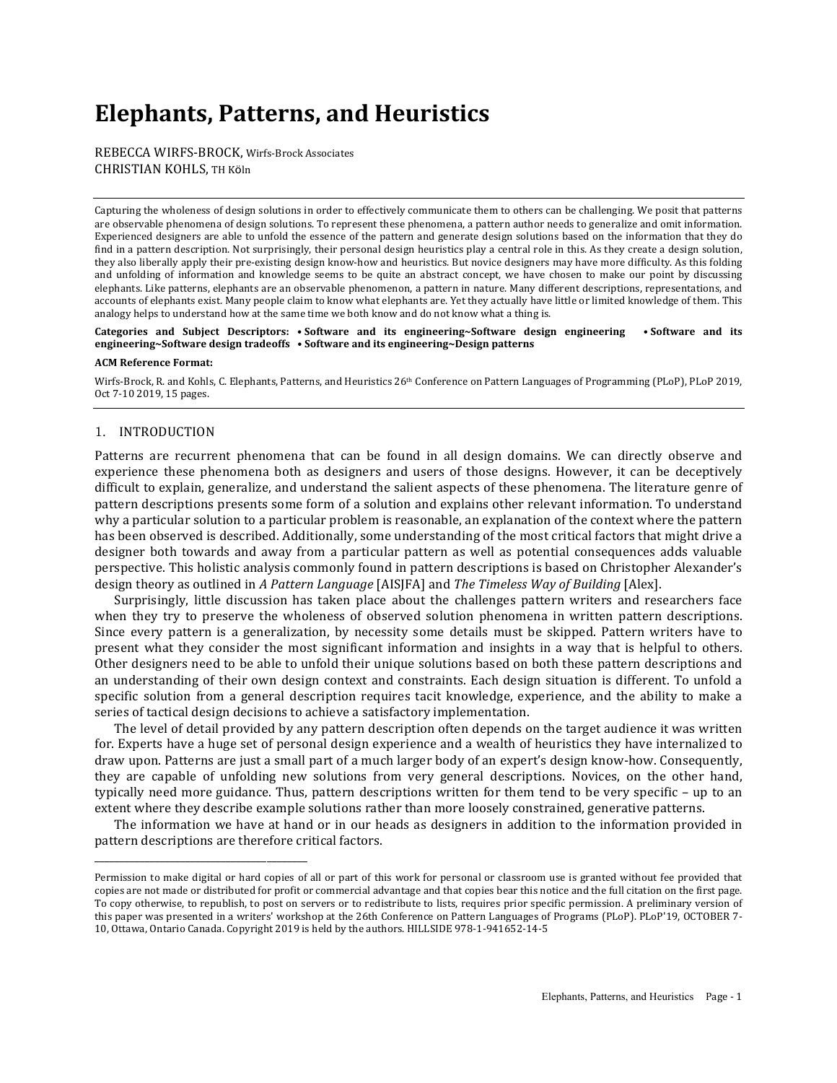# **Elephants, Patterns, and Heuristics**

REBECCA WIRFS-BROCK, Wirfs-Brock Associates CHRISTIAN KOHLS, TH Köln

Capturing the wholeness of design solutions in order to effectively communicate them to others can be challenging. We posit that patterns are observable phenomena of design solutions. To represent these phenomena, a pattern author needs to generalize and omit information. Experienced designers are able to unfold the essence of the pattern and generate design solutions based on the information that they do find in a pattern description. Not surprisingly, their personal design heuristics play a central role in this. As they create a design solution, they also liberally apply their pre-existing design know-how and heuristics. But novice designers may have more difficulty. As this folding and unfolding of information and knowledge seems to be quite an abstract concept, we have chosen to make our point by discussing elephants. Like patterns, elephants are an observable phenomenon, a pattern in nature. Many different descriptions, representations, and accounts of elephants exist. Many people claim to know what elephants are. Yet they actually have little or limited knowledge of them. This analogy helps to understand how at the same time we both know and do not know what a thing is.

Categories and Subject Descriptors: • Software and its engineering~Software design engineering • Software and its **engineering~Software design tradeoffs • Software and its engineering~Design patterns**

#### **ACM Reference Format:**

Wirfs-Brock, R. and Kohls, C. Elephants, Patterns, and Heuristics 26<sup>th</sup> Conference on Pattern Languages of Programming (PLoP), PLoP 2019, Oct 7-10 2019, 15 pages.

### 1. INTRODUCTION

\_\_\_\_\_\_\_\_\_\_\_\_\_\_\_\_\_\_\_\_\_\_\_\_\_\_\_\_\_\_\_\_\_\_\_\_\_\_\_\_\_\_

Patterns are recurrent phenomena that can be found in all design domains. We can directly observe and experience these phenomena both as designers and users of those designs. However, it can be deceptively difficult to explain, generalize, and understand the salient aspects of these phenomena. The literature genre of pattern descriptions presents some form of a solution and explains other relevant information. To understand why a particular solution to a particular problem is reasonable, an explanation of the context where the pattern has been observed is described. Additionally, some understanding of the most critical factors that might drive a designer both towards and away from a particular pattern as well as potential consequences adds valuable perspective. This holistic analysis commonly found in pattern descriptions is based on Christopher Alexander's design theory as outlined in *A Pattern Language* [AIS]FA] and *The Timeless Way of Building* [Alex].

Surprisingly, little discussion has taken place about the challenges pattern writers and researchers face when they try to preserve the wholeness of observed solution phenomena in written pattern descriptions. Since every pattern is a generalization, by necessity some details must be skipped. Pattern writers have to present what they consider the most significant information and insights in a way that is helpful to others. Other designers need to be able to unfold their unique solutions based on both these pattern descriptions and an understanding of their own design context and constraints. Each design situation is different. To unfold a specific solution from a general description requires tacit knowledge, experience, and the ability to make a series of tactical design decisions to achieve a satisfactory implementation.

The level of detail provided by any pattern description often depends on the target audience it was written for. Experts have a huge set of personal design experience and a wealth of heuristics they have internalized to draw upon. Patterns are just a small part of a much larger body of an expert's design know-how. Consequently, they are capable of unfolding new solutions from very general descriptions. Novices, on the other hand, typically need more guidance. Thus, pattern descriptions written for them tend to be very specific - up to an extent where they describe example solutions rather than more loosely constrained, generative patterns.

The information we have at hand or in our heads as designers in addition to the information provided in pattern descriptions are therefore critical factors.

Permission to make digital or hard copies of all or part of this work for personal or classroom use is granted without fee provided that copies are not made or distributed for profit or commercial advantage and that copies bear this notice and the full citation on the first page. To copy otherwise, to republish, to post on servers or to redistribute to lists, requires prior specific permission. A preliminary version of this paper was presented in a writers' workshop at the 26th Conference on Pattern Languages of Programs (PLoP). PLoP'19, OCTOBER 7-10, Ottawa, Ontario Canada. Copyright 2019 is held by the authors. HILLSIDE 978-1-941652-14-5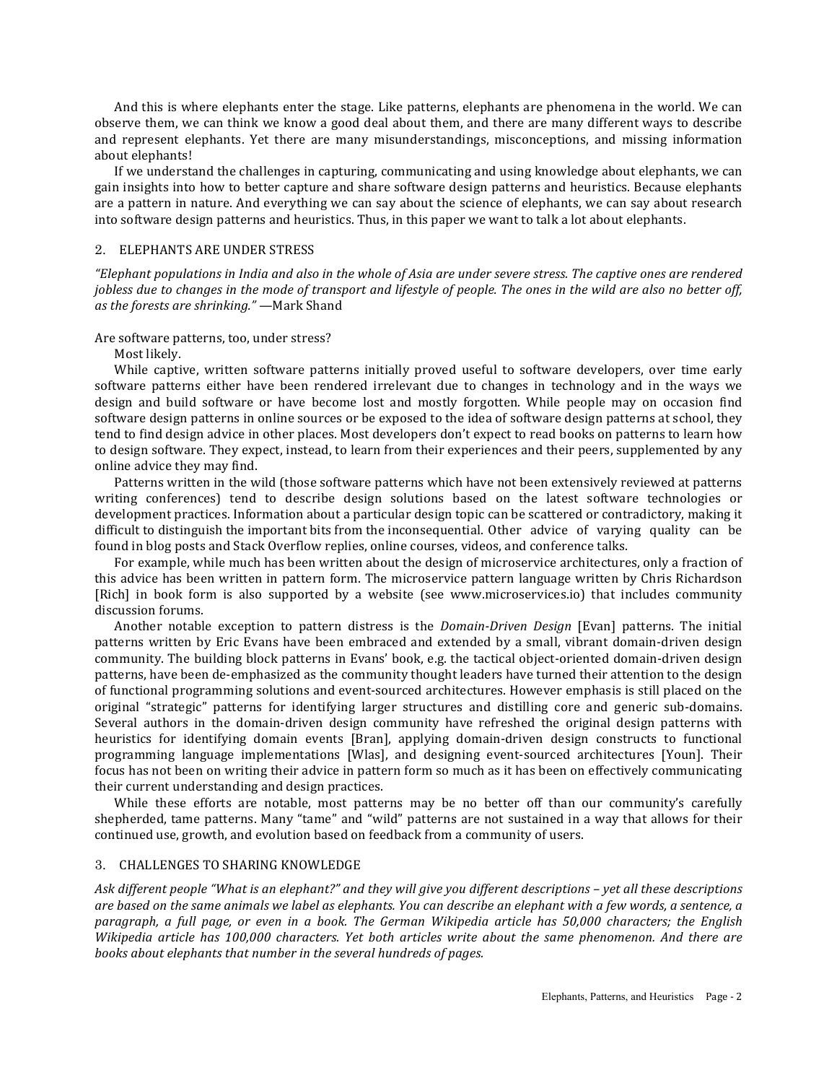And this is where elephants enter the stage. Like patterns, elephants are phenomena in the world. We can observe them, we can think we know a good deal about them, and there are many different ways to describe and represent elephants. Yet there are many misunderstandings, misconceptions, and missing information about elephants!

If we understand the challenges in capturing, communicating and using knowledge about elephants, we can gain insights into how to better capture and share software design patterns and heuristics. Because elephants are a pattern in nature. And everything we can say about the science of elephants, we can say about research into software design patterns and heuristics. Thus, in this paper we want to talk a lot about elephants.

## 2. ELEPHANTS ARE UNDER STRESS

*"Elephant populations in India and also in the whole of Asia are under severe stress. The captive ones are rendered jobless* due to changes in the mode of transport and lifestyle of people. The ones in the wild are also no better off, *as the forests are shrinking."* —Mark Shand

## Are software patterns, too, under stress?

Most likely.

While captive, written software patterns initially proved useful to software developers, over time early software patterns either have been rendered irrelevant due to changes in technology and in the ways we design and build software or have become lost and mostly forgotten. While people may on occasion find software design patterns in online sources or be exposed to the idea of software design patterns at school, they tend to find design advice in other places. Most developers don't expect to read books on patterns to learn how to design software. They expect, instead, to learn from their experiences and their peers, supplemented by any online advice they may find.

Patterns written in the wild (those software patterns which have not been extensively reviewed at patterns writing conferences) tend to describe design solutions based on the latest software technologies or development practices. Information about a particular design topic can be scattered or contradictory, making it difficult to distinguish the important bits from the inconsequential. Other advice of varying quality can be found in blog posts and Stack Overflow replies, online courses, videos, and conference talks.

For example, while much has been written about the design of microservice architectures, only a fraction of this advice has been written in pattern form. The microservice pattern language written by Chris Richardson [Rich] in book form is also supported by a website (see www.microservices.io) that includes community discussion forums.

Another notable exception to pattern distress is the *Domain-Driven Design* [Evan] patterns. The initial patterns written by Eric Evans have been embraced and extended by a small, vibrant domain-driven design community. The building block patterns in Evans' book, e.g. the tactical object-oriented domain-driven design patterns, have been de-emphasized as the community thought leaders have turned their attention to the design of functional programming solutions and event-sourced architectures. However emphasis is still placed on the original "strategic" patterns for identifying larger structures and distilling core and generic sub-domains. Several authors in the domain-driven design community have refreshed the original design patterns with heuristics for identifying domain events [Bran], applying domain-driven design constructs to functional programming language implementations [Wlas], and designing event-sourced architectures [Youn]. Their focus has not been on writing their advice in pattern form so much as it has been on effectively communicating their current understanding and design practices.

While these efforts are notable, most patterns may be no better off than our community's carefully shepherded, tame patterns. Many "tame" and "wild" patterns are not sustained in a way that allows for their continued use, growth, and evolution based on feedback from a community of users.

## 3. CHALLENGES TO SHARING KNOWLEDGE

Ask different people "What is an elephant?" and they will give you different descriptions – yet all these descriptions are based on the same animals we label as elephants. You can describe an elephant with a few words, a sentence, a *paragraph, a full page, or even in a book. The German Wikipedia article has 50,000 characters; the English Wikipedia article has 100,000 characters. Yet both articles write about the same phenomenon. And there are books about elephants that number in the several hundreds of pages.*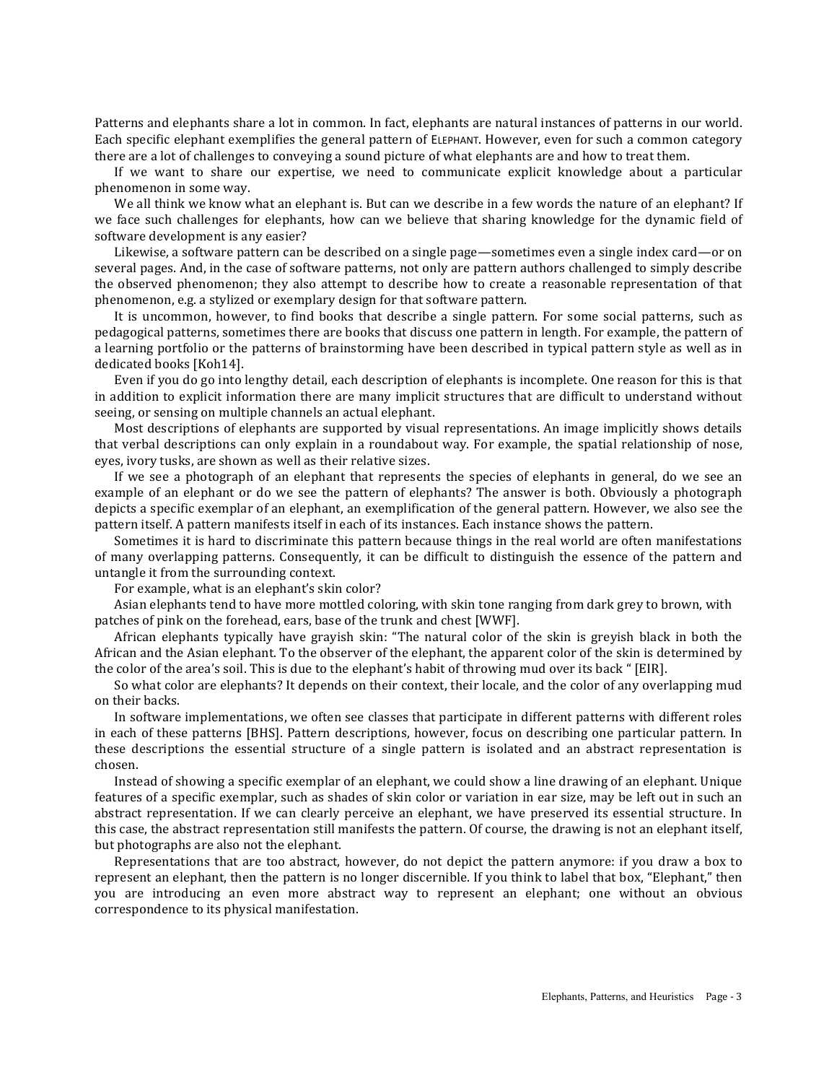Patterns and elephants share a lot in common. In fact, elephants are natural instances of patterns in our world. Each specific elephant exemplifies the general pattern of ELEPHANT. However, even for such a common category there are a lot of challenges to conveying a sound picture of what elephants are and how to treat them.

If we want to share our expertise, we need to communicate explicit knowledge about a particular phenomenon in some way.

We all think we know what an elephant is. But can we describe in a few words the nature of an elephant? If we face such challenges for elephants, how can we believe that sharing knowledge for the dynamic field of software development is any easier?

Likewise, a software pattern can be described on a single page—sometimes even a single index card—or on several pages. And, in the case of software patterns, not only are pattern authors challenged to simply describe the observed phenomenon; they also attempt to describe how to create a reasonable representation of that phenomenon, e.g. a stylized or exemplary design for that software pattern.

It is uncommon, however, to find books that describe a single pattern. For some social patterns, such as pedagogical patterns, sometimes there are books that discuss one pattern in length. For example, the pattern of a learning portfolio or the patterns of brainstorming have been described in typical pattern style as well as in dedicated books [Koh14].

Even if you do go into lengthy detail, each description of elephants is incomplete. One reason for this is that in addition to explicit information there are many implicit structures that are difficult to understand without seeing, or sensing on multiple channels an actual elephant.

Most descriptions of elephants are supported by visual representations. An image implicitly shows details that verbal descriptions can only explain in a roundabout way. For example, the spatial relationship of nose, eyes, ivory tusks, are shown as well as their relative sizes.

If we see a photograph of an elephant that represents the species of elephants in general, do we see an example of an elephant or do we see the pattern of elephants? The answer is both. Obviously a photograph depicts a specific exemplar of an elephant, an exemplification of the general pattern. However, we also see the pattern itself. A pattern manifests itself in each of its instances. Each instance shows the pattern.

Sometimes it is hard to discriminate this pattern because things in the real world are often manifestations of many overlapping patterns. Consequently, it can be difficult to distinguish the essence of the pattern and untangle it from the surrounding context.

For example, what is an elephant's skin color?

Asian elephants tend to have more mottled coloring, with skin tone ranging from dark grey to brown, with patches of pink on the forehead, ears, base of the trunk and chest [WWF].

African elephants typically have grayish skin: "The natural color of the skin is greyish black in both the African and the Asian elephant. To the observer of the elephant, the apparent color of the skin is determined by the color of the area's soil. This is due to the elephant's habit of throwing mud over its back " [EIR].

So what color are elephants? It depends on their context, their locale, and the color of any overlapping mud on their backs.

In software implementations, we often see classes that participate in different patterns with different roles in each of these patterns [BHS]. Pattern descriptions, however, focus on describing one particular pattern. In these descriptions the essential structure of a single pattern is isolated and an abstract representation is chosen.

Instead of showing a specific exemplar of an elephant, we could show a line drawing of an elephant. Unique features of a specific exemplar, such as shades of skin color or variation in ear size, may be left out in such an abstract representation. If we can clearly perceive an elephant, we have preserved its essential structure. In this case, the abstract representation still manifests the pattern. Of course, the drawing is not an elephant itself, but photographs are also not the elephant.

Representations that are too abstract, however, do not depict the pattern anymore: if you draw a box to represent an elephant, then the pattern is no longer discernible. If you think to label that box, "Elephant," then you are introducing an even more abstract way to represent an elephant; one without an obvious correspondence to its physical manifestation.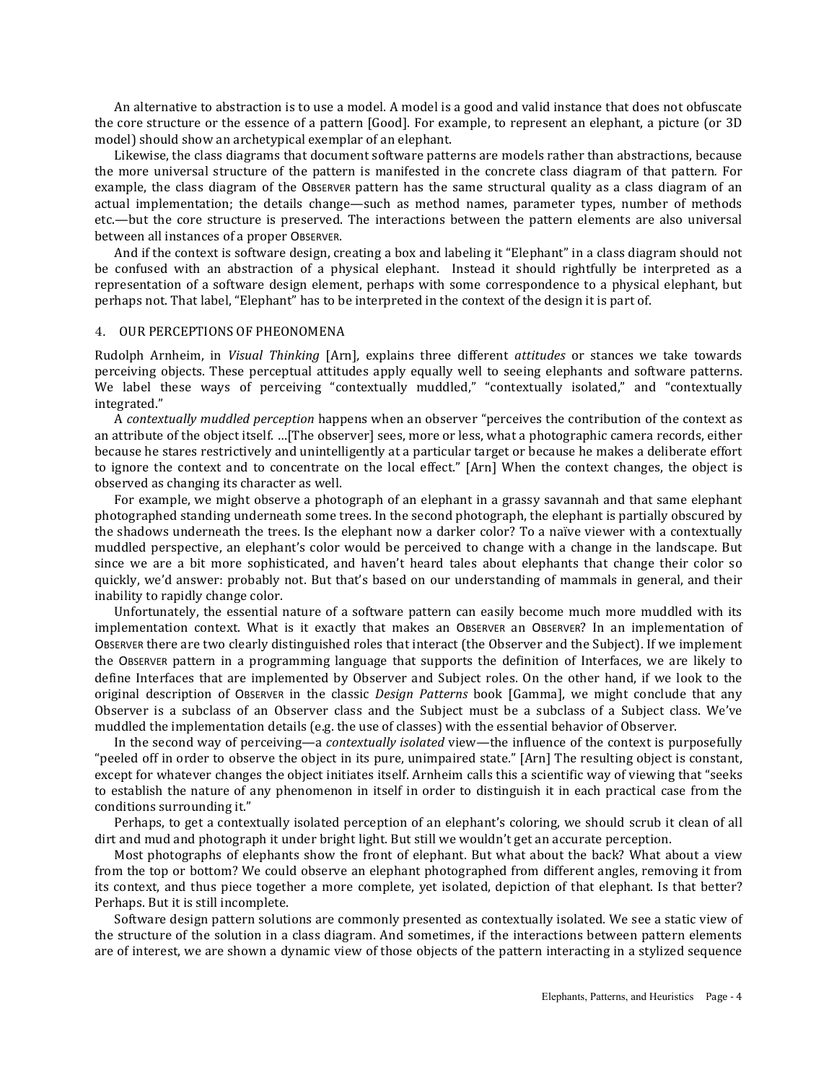An alternative to abstraction is to use a model. A model is a good and valid instance that does not obfuscate the core structure or the essence of a pattern [Good]. For example, to represent an elephant, a picture (or 3D model) should show an archetypical exemplar of an elephant.

Likewise, the class diagrams that document software patterns are models rather than abstractions, because the more universal structure of the pattern is manifested in the concrete class diagram of that pattern. For example, the class diagram of the Observer pattern has the same structural quality as a class diagram of an actual implementation; the details change—such as method names, parameter types, number of methods etc.—but the core structure is preserved. The interactions between the pattern elements are also universal between all instances of a proper OBSERVER.

And if the context is software design, creating a box and labeling it "Elephant" in a class diagram should not be confused with an abstraction of a physical elephant. Instead it should rightfully be interpreted as a representation of a software design element, perhaps with some correspondence to a physical elephant, but perhaps not. That label, "Elephant" has to be interpreted in the context of the design it is part of.

## 4. OUR PERCEPTIONS OF PHEONOMENA

Rudolph Arnheim, in *Visual Thinking* [Arn], explains three different *attitudes* or stances we take towards perceiving objects. These perceptual attitudes apply equally well to seeing elephants and software patterns. We label these ways of perceiving "contextually muddled," "contextually isolated," and "contextually integrated."

A *contextually muddled perception* happens when an observer "perceives the contribution of the context as an attribute of the object itself. …[The observer] sees, more or less, what a photographic camera records, either because he stares restrictively and unintelligently at a particular target or because he makes a deliberate effort to ignore the context and to concentrate on the local effect." [Arn] When the context changes, the object is observed as changing its character as well.

For example, we might observe a photograph of an elephant in a grassy savannah and that same elephant photographed standing underneath some trees. In the second photograph, the elephant is partially obscured by the shadows underneath the trees. Is the elephant now a darker color? To a naïve viewer with a contextually muddled perspective, an elephant's color would be perceived to change with a change in the landscape. But since we are a bit more sophisticated, and haven't heard tales about elephants that change their color so quickly, we'd answer: probably not. But that's based on our understanding of mammals in general, and their inability to rapidly change color.

Unfortunately, the essential nature of a software pattern can easily become much more muddled with its implementation context. What is it exactly that makes an OBSERVER an OBSERVER? In an implementation of OBSERVER there are two clearly distinguished roles that interact (the Observer and the Subject). If we implement the OBSERVER pattern in a programming language that supports the definition of Interfaces, we are likely to define Interfaces that are implemented by Observer and Subject roles. On the other hand, if we look to the original description of OBSERVER in the classic *Design Patterns* book [Gamma], we might conclude that any Observer is a subclass of an Observer class and the Subject must be a subclass of a Subject class. We've muddled the implementation details (e.g. the use of classes) with the essential behavior of Observer.

In the second way of perceiving—a *contextually isolated* view—the influence of the context is purposefully "peeled off in order to observe the object in its pure, unimpaired state." [Arn] The resulting object is constant, except for whatever changes the object initiates itself. Arnheim calls this a scientific way of viewing that "seeks to establish the nature of any phenomenon in itself in order to distinguish it in each practical case from the conditions surrounding it."

Perhaps, to get a contextually isolated perception of an elephant's coloring, we should scrub it clean of all dirt and mud and photograph it under bright light. But still we wouldn't get an accurate perception.

Most photographs of elephants show the front of elephant. But what about the back? What about a view from the top or bottom? We could observe an elephant photographed from different angles, removing it from its context, and thus piece together a more complete, yet isolated, depiction of that elephant. Is that better? Perhaps. But it is still incomplete.

Software design pattern solutions are commonly presented as contextually isolated. We see a static view of the structure of the solution in a class diagram. And sometimes, if the interactions between pattern elements are of interest, we are shown a dynamic view of those objects of the pattern interacting in a stylized sequence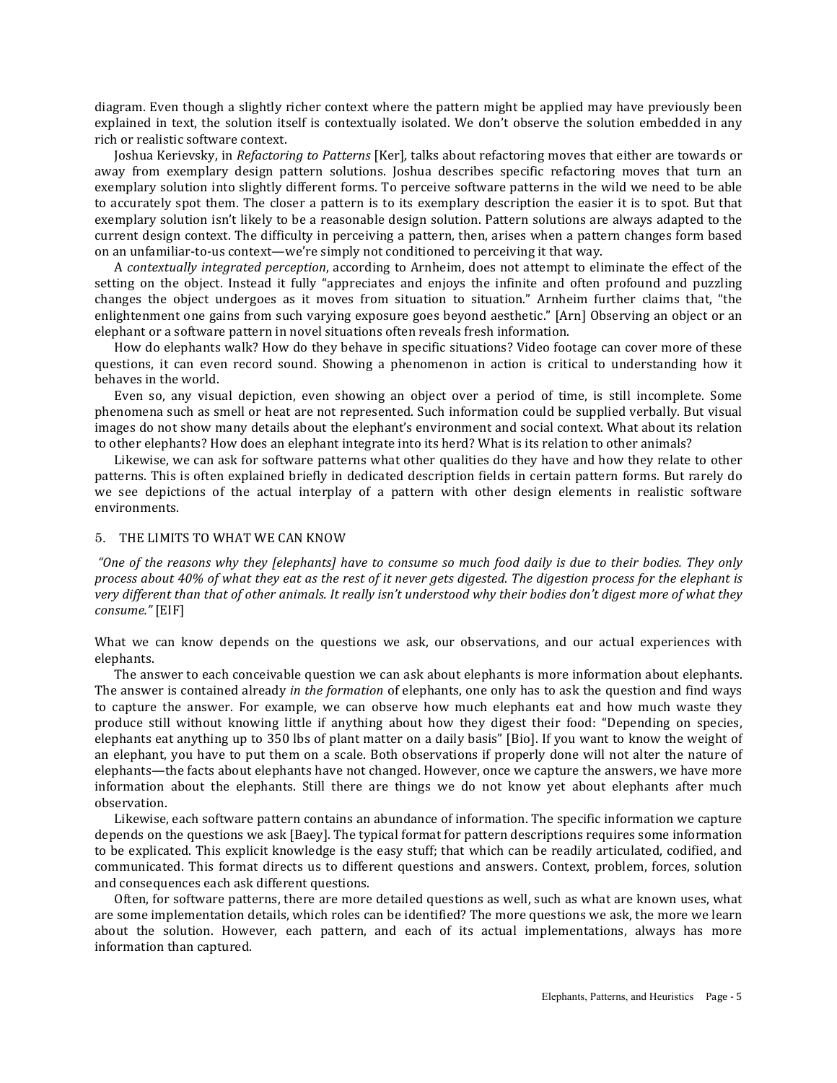diagram. Even though a slightly richer context where the pattern might be applied may have previously been explained in text, the solution itself is contextually isolated. We don't observe the solution embedded in any rich or realistic software context.

Joshua Kerievsky, in *Refactoring to Patterns* [Ker], talks about refactoring moves that either are towards or away from exemplary design pattern solutions. Joshua describes specific refactoring moves that turn an exemplary solution into slightly different forms. To perceive software patterns in the wild we need to be able to accurately spot them. The closer a pattern is to its exemplary description the easier it is to spot. But that exemplary solution isn't likely to be a reasonable design solution. Pattern solutions are always adapted to the current design context. The difficulty in perceiving a pattern, then, arises when a pattern changes form based on an unfamiliar-to-us context—we're simply not conditioned to perceiving it that way.

A *contextually integrated perception*, according to Arnheim, does not attempt to eliminate the effect of the setting on the object. Instead it fully "appreciates and enjoys the infinite and often profound and puzzling changes the object undergoes as it moves from situation to situation." Arnheim further claims that, "the enlightenment one gains from such varying exposure goes beyond aesthetic." [Arn] Observing an object or an elephant or a software pattern in novel situations often reveals fresh information.

How do elephants walk? How do they behave in specific situations? Video footage can cover more of these questions, it can even record sound. Showing a phenomenon in action is critical to understanding how it behaves in the world.

Even so, any visual depiction, even showing an object over a period of time, is still incomplete. Some phenomena such as smell or heat are not represented. Such information could be supplied verbally. But visual images do not show many details about the elephant's environment and social context. What about its relation to other elephants? How does an elephant integrate into its herd? What is its relation to other animals?

Likewise, we can ask for software patterns what other qualities do they have and how they relate to other patterns. This is often explained briefly in dedicated description fields in certain pattern forms. But rarely do we see depictions of the actual interplay of a pattern with other design elements in realistic software environments.

#### 5. THE LIMITS TO WHAT WE CAN KNOW

*"One* of the reasons why they [elephants] have to consume so much food daily is due to their bodies. They only *process about 40% of what they eat as the rest of it never gets digested. The digestion process for the elephant is* very different than that of other animals. It really isn't understood why their bodies don't digest more of what they *consume."* [EIF]

What we can know depends on the questions we ask, our observations, and our actual experiences with elephants.

The answer to each conceivable question we can ask about elephants is more information about elephants. The answer is contained already *in the formation* of elephants, one only has to ask the question and find ways to capture the answer. For example, we can observe how much elephants eat and how much waste they produce still without knowing little if anything about how they digest their food: "Depending on species, elephants eat anything up to 350 lbs of plant matter on a daily basis" [Bio]. If you want to know the weight of an elephant, you have to put them on a scale. Both observations if properly done will not alter the nature of elephants—the facts about elephants have not changed. However, once we capture the answers, we have more information about the elephants. Still there are things we do not know yet about elephants after much observation.

Likewise, each software pattern contains an abundance of information. The specific information we capture depends on the questions we ask [Baey]. The typical format for pattern descriptions requires some information to be explicated. This explicit knowledge is the easy stuff; that which can be readily articulated, codified, and communicated. This format directs us to different questions and answers. Context, problem, forces, solution and consequences each ask different questions.

Often, for software patterns, there are more detailed questions as well, such as what are known uses, what are some implementation details, which roles can be identified? The more questions we ask, the more we learn about the solution. However, each pattern, and each of its actual implementations, always has more information than captured.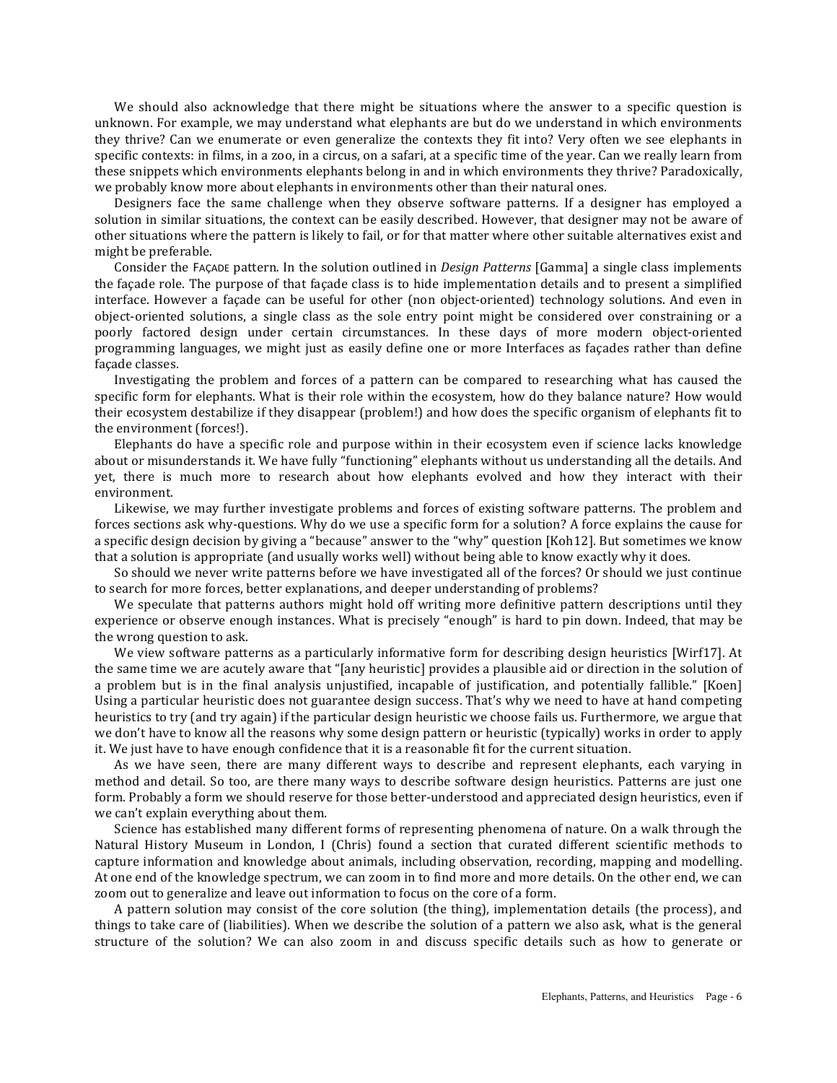We should also acknowledge that there might be situations where the answer to a specific question is unknown. For example, we may understand what elephants are but do we understand in which environments they thrive? Can we enumerate or even generalize the contexts they fit into? Very often we see elephants in specific contexts: in films, in a zoo, in a circus, on a safari, at a specific time of the year. Can we really learn from these snippets which environments elephants belong in and in which environments they thrive? Paradoxically, we probably know more about elephants in environments other than their natural ones.

Designers face the same challenge when they observe software patterns. If a designer has employed a solution in similar situations, the context can be easily described. However, that designer may not be aware of other situations where the pattern is likely to fail, or for that matter where other suitable alternatives exist and might be preferable.

Consider the FAÇADE pattern. In the solution outlined in *Design Patterns* [Gamma] a single class implements the facade role. The purpose of that facade class is to hide implementation details and to present a simplified interface. However a façade can be useful for other (non object-oriented) technology solutions. And even in object-oriented solutions, a single class as the sole entry point might be considered over constraining or a poorly factored design under certain circumstances. In these days of more modern object-oriented programming languages, we might just as easily define one or more Interfaces as façades rather than define facade classes.

Investigating the problem and forces of a pattern can be compared to researching what has caused the specific form for elephants. What is their role within the ecosystem, how do they balance nature? How would their ecosystem destabilize if they disappear (problem!) and how does the specific organism of elephants fit to the environment (forces!).

Elephants do have a specific role and purpose within in their ecosystem even if science lacks knowledge about or misunderstands it. We have fully "functioning" elephants without us understanding all the details. And yet, there is much more to research about how elephants evolved and how they interact with their environment.

Likewise, we may further investigate problems and forces of existing software patterns. The problem and forces sections ask why-questions. Why do we use a specific form for a solution? A force explains the cause for a specific design decision by giving a "because" answer to the "why" question [Koh12]. But sometimes we know that a solution is appropriate (and usually works well) without being able to know exactly why it does.

So should we never write patterns before we have investigated all of the forces? Or should we just continue to search for more forces, better explanations, and deeper understanding of problems?

We speculate that patterns authors might hold off writing more definitive pattern descriptions until they experience or observe enough instances. What is precisely "enough" is hard to pin down. Indeed, that may be the wrong question to ask.

We view software patterns as a particularly informative form for describing design heuristics [Wirf17]. At the same time we are acutely aware that "[any heuristic] provides a plausible aid or direction in the solution of a problem but is in the final analysis unjustified, incapable of justification, and potentially fallible." [Koen] Using a particular heuristic does not guarantee design success. That's why we need to have at hand competing heuristics to try (and try again) if the particular design heuristic we choose fails us. Furthermore, we argue that we don't have to know all the reasons why some design pattern or heuristic (typically) works in order to apply it. We just have to have enough confidence that it is a reasonable fit for the current situation.

As we have seen, there are many different ways to describe and represent elephants, each varying in method and detail. So too, are there many ways to describe software design heuristics. Patterns are just one form. Probably a form we should reserve for those better-understood and appreciated design heuristics, even if we can't explain everything about them.

Science has established many different forms of representing phenomena of nature. On a walk through the Natural History Museum in London, I (Chris) found a section that curated different scientific methods to capture information and knowledge about animals, including observation, recording, mapping and modelling. At one end of the knowledge spectrum, we can zoom in to find more and more details. On the other end, we can zoom out to generalize and leave out information to focus on the core of a form.

A pattern solution may consist of the core solution (the thing), implementation details (the process), and things to take care of (liabilities). When we describe the solution of a pattern we also ask, what is the general structure of the solution? We can also zoom in and discuss specific details such as how to generate or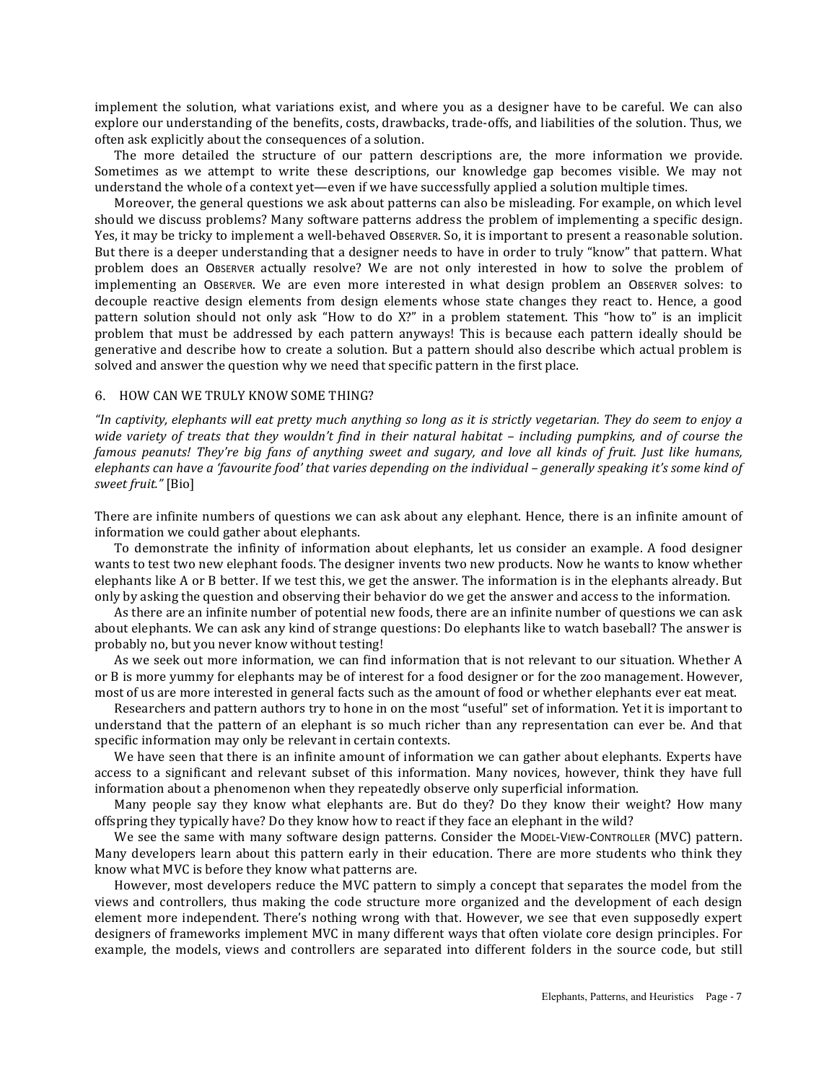implement the solution, what variations exist, and where you as a designer have to be careful. We can also explore our understanding of the benefits, costs, drawbacks, trade-offs, and liabilities of the solution. Thus, we often ask explicitly about the consequences of a solution.

The more detailed the structure of our pattern descriptions are, the more information we provide. Sometimes as we attempt to write these descriptions, our knowledge gap becomes visible. We may not understand the whole of a context yet—even if we have successfully applied a solution multiple times.

Moreover, the general questions we ask about patterns can also be misleading. For example, on which level should we discuss problems? Many software patterns address the problem of implementing a specific design. Yes, it may be tricky to implement a well-behaved OBSERVER. So, it is important to present a reasonable solution. But there is a deeper understanding that a designer needs to have in order to truly "know" that pattern. What problem does an OBSERVER actually resolve? We are not only interested in how to solve the problem of implementing an OBSERVER. We are even more interested in what design problem an OBSERVER solves: to decouple reactive design elements from design elements whose state changes they react to. Hence, a good pattern solution should not only ask "How to do X?" in a problem statement. This "how to" is an implicit problem that must be addressed by each pattern anyways! This is because each pattern ideally should be generative and describe how to create a solution. But a pattern should also describe which actual problem is solved and answer the question why we need that specific pattern in the first place.

## 6. HOW CAN WE TRULY KNOW SOME THING?

*"In captivity, elephants will eat pretty much anything so long as it is strictly vegetarian. They do seem to enjoy a wide* variety of treats that they wouldn't find in their natural habitat – including pumpkins, and of course the *famous* peanuts! They're big fans of anything sweet and sugary, and love all kinds of fruit. Just like humans, *elephants can have a 'favourite food' that varies depending on the individual – generally speaking it's some kind of sweet fruit."* [Bio]

There are infinite numbers of questions we can ask about any elephant. Hence, there is an infinite amount of information we could gather about elephants.

To demonstrate the infinity of information about elephants, let us consider an example. A food designer wants to test two new elephant foods. The designer invents two new products. Now he wants to know whether elephants like A or B better. If we test this, we get the answer. The information is in the elephants already. But only by asking the question and observing their behavior do we get the answer and access to the information.

As there are an infinite number of potential new foods, there are an infinite number of questions we can ask about elephants. We can ask any kind of strange questions: Do elephants like to watch baseball? The answer is probably no, but you never know without testing!

As we seek out more information, we can find information that is not relevant to our situation. Whether A or B is more yummy for elephants may be of interest for a food designer or for the zoo management. However, most of us are more interested in general facts such as the amount of food or whether elephants ever eat meat.

Researchers and pattern authors try to hone in on the most "useful" set of information. Yet it is important to understand that the pattern of an elephant is so much richer than any representation can ever be. And that specific information may only be relevant in certain contexts.

We have seen that there is an infinite amount of information we can gather about elephants. Experts have access to a significant and relevant subset of this information. Many novices, however, think they have full information about a phenomenon when they repeatedly observe only superficial information.

Many people say they know what elephants are. But do they? Do they know their weight? How many offspring they typically have? Do they know how to react if they face an elephant in the wild?

We see the same with many software design patterns. Consider the MODEL-VIEW-CONTROLLER (MVC) pattern. Many developers learn about this pattern early in their education. There are more students who think they know what MVC is before they know what patterns are.

However, most developers reduce the MVC pattern to simply a concept that separates the model from the views and controllers, thus making the code structure more organized and the development of each design element more independent. There's nothing wrong with that. However, we see that even supposedly expert designers of frameworks implement MVC in many different ways that often violate core design principles. For example, the models, views and controllers are separated into different folders in the source code, but still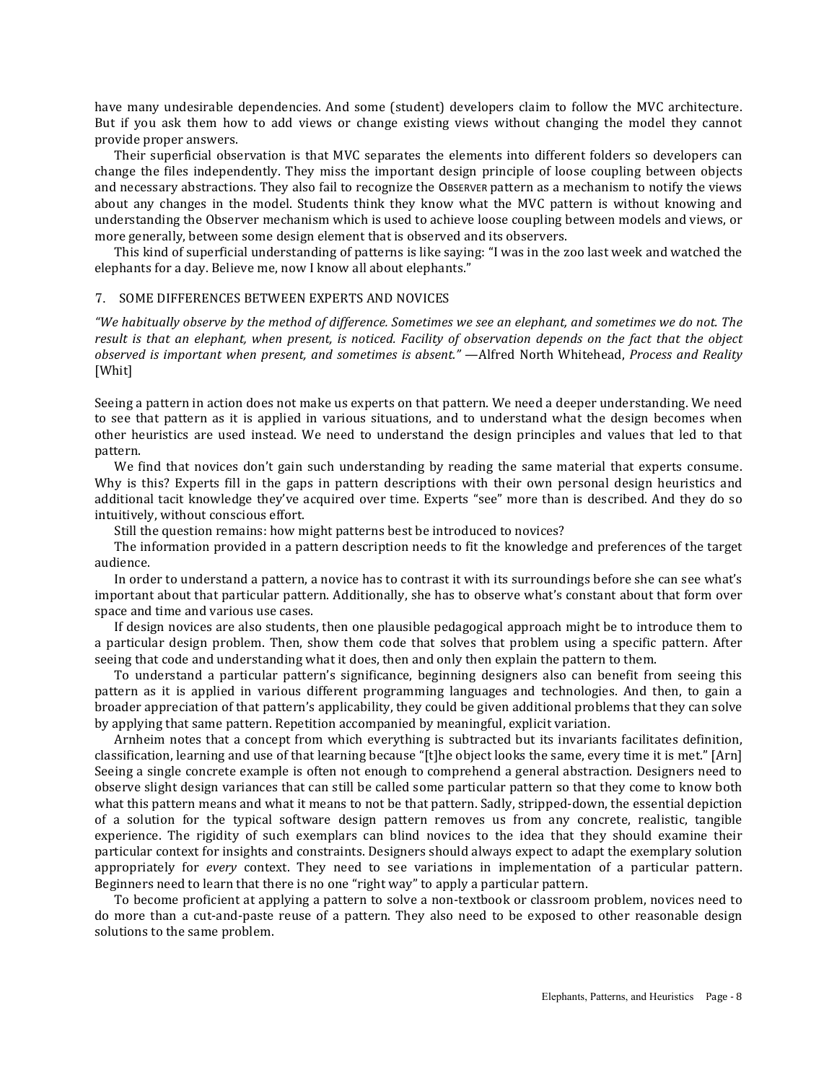have many undesirable dependencies. And some (student) developers claim to follow the MVC architecture. But if you ask them how to add views or change existing views without changing the model they cannot provide proper answers.

Their superficial observation is that MVC separates the elements into different folders so developers can change the files independently. They miss the important design principle of loose coupling between objects and necessary abstractions. They also fail to recognize the OBSERVER pattern as a mechanism to notify the views about any changes in the model. Students think they know what the MVC pattern is without knowing and understanding the Observer mechanism which is used to achieve loose coupling between models and views, or more generally, between some design element that is observed and its observers.

This kind of superficial understanding of patterns is like saying: "I was in the zoo last week and watched the elephants for a day. Believe me, now I know all about elephants."

### 7. SOME DIFFERENCES BETWEEN EXPERTS AND NOVICES

*"We habitually observe by the method of difference. Sometimes we see an elephant, and sometimes we do not. The result is that an elephant, when present, is noticed. Facility of observation depends on the fact that the object observed is important when present, and sometimes is absent."* —Alfred North Whitehead, *Process and Reality* [Whit]

Seeing a pattern in action does not make us experts on that pattern. We need a deeper understanding. We need to see that pattern as it is applied in various situations, and to understand what the design becomes when other heuristics are used instead. We need to understand the design principles and values that led to that pattern.

We find that novices don't gain such understanding by reading the same material that experts consume. Why is this? Experts fill in the gaps in pattern descriptions with their own personal design heuristics and additional tacit knowledge they've acquired over time. Experts "see" more than is described. And they do so intuitively, without conscious effort.

Still the question remains: how might patterns best be introduced to novices?

The information provided in a pattern description needs to fit the knowledge and preferences of the target audience.

In order to understand a pattern, a novice has to contrast it with its surroundings before she can see what's important about that particular pattern. Additionally, she has to observe what's constant about that form over space and time and various use cases.

If design novices are also students, then one plausible pedagogical approach might be to introduce them to a particular design problem. Then, show them code that solves that problem using a specific pattern. After seeing that code and understanding what it does, then and only then explain the pattern to them.

To understand a particular pattern's significance, beginning designers also can benefit from seeing this pattern as it is applied in various different programming languages and technologies. And then, to gain a broader appreciation of that pattern's applicability, they could be given additional problems that they can solve by applying that same pattern. Repetition accompanied by meaningful, explicit variation.

Arnheim notes that a concept from which everything is subtracted but its invariants facilitates definition, classification, learning and use of that learning because "[t]he object looks the same, every time it is met." [Arn] Seeing a single concrete example is often not enough to comprehend a general abstraction. Designers need to observe slight design variances that can still be called some particular pattern so that they come to know both what this pattern means and what it means to not be that pattern. Sadly, stripped-down, the essential depiction of a solution for the typical software design pattern removes us from any concrete, realistic, tangible experience. The rigidity of such exemplars can blind novices to the idea that they should examine their particular context for insights and constraints. Designers should always expect to adapt the exemplary solution appropriately for *every* context. They need to see variations in implementation of a particular pattern. Beginners need to learn that there is no one "right way" to apply a particular pattern.

To become proficient at applying a pattern to solve a non-textbook or classroom problem, novices need to do more than a cut-and-paste reuse of a pattern. They also need to be exposed to other reasonable design solutions to the same problem.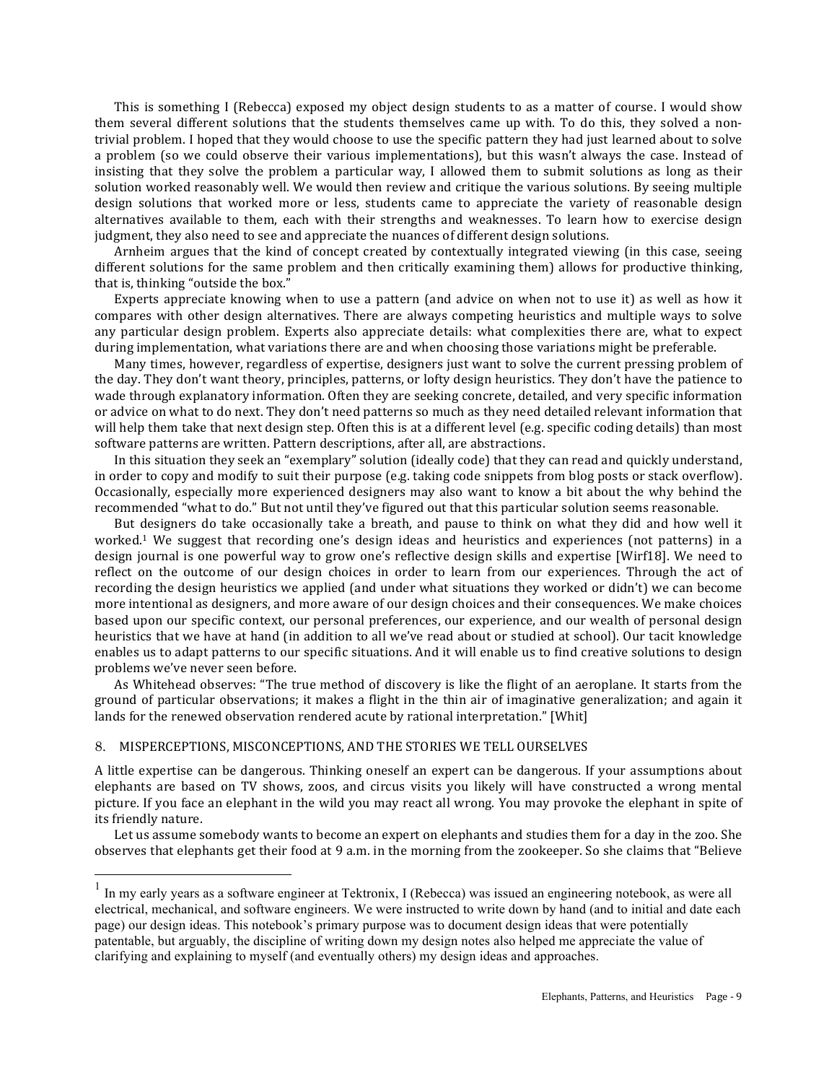This is something I (Rebecca) exposed my object design students to as a matter of course. I would show them several different solutions that the students themselves came up with. To do this, they solved a nontrivial problem. I hoped that they would choose to use the specific pattern they had just learned about to solve a problem (so we could observe their various implementations), but this wasn't always the case. Instead of insisting that they solve the problem a particular way, I allowed them to submit solutions as long as their solution worked reasonably well. We would then review and critique the various solutions. By seeing multiple design solutions that worked more or less, students came to appreciate the variety of reasonable design alternatives available to them, each with their strengths and weaknesses. To learn how to exercise design judgment, they also need to see and appreciate the nuances of different design solutions.

Arnheim argues that the kind of concept created by contextually integrated viewing (in this case, seeing different solutions for the same problem and then critically examining them) allows for productive thinking, that is, thinking "outside the box."

Experts appreciate knowing when to use a pattern (and advice on when not to use it) as well as how it compares with other design alternatives. There are always competing heuristics and multiple ways to solve any particular design problem. Experts also appreciate details: what complexities there are, what to expect during implementation, what variations there are and when choosing those variations might be preferable.

Many times, however, regardless of expertise, designers just want to solve the current pressing problem of the day. They don't want theory, principles, patterns, or lofty design heuristics. They don't have the patience to wade through explanatory information. Often they are seeking concrete, detailed, and very specific information or advice on what to do next. They don't need patterns so much as they need detailed relevant information that will help them take that next design step. Often this is at a different level (e.g. specific coding details) than most software patterns are written. Pattern descriptions, after all, are abstractions.

In this situation they seek an "exemplary" solution (ideally code) that they can read and quickly understand, in order to copy and modify to suit their purpose (e.g. taking code snippets from blog posts or stack overflow). Occasionally, especially more experienced designers may also want to know a bit about the why behind the recommended "what to do." But not until they've figured out that this particular solution seems reasonable.

But designers do take occasionally take a breath, and pause to think on what they did and how well it worked.<sup>1</sup> We suggest that recording one's design ideas and heuristics and experiences (not patterns) in a design journal is one powerful way to grow one's reflective design skills and expertise [Wirf18]. We need to reflect on the outcome of our design choices in order to learn from our experiences. Through the act of recording the design heuristics we applied (and under what situations they worked or didn't) we can become more intentional as designers, and more aware of our design choices and their consequences. We make choices based upon our specific context, our personal preferences, our experience, and our wealth of personal design heuristics that we have at hand (in addition to all we've read about or studied at school). Our tacit knowledge enables us to adapt patterns to our specific situations. And it will enable us to find creative solutions to design problems we've never seen before.

As Whitehead observes: "The true method of discovery is like the flight of an aeroplane. It starts from the ground of particular observations; it makes a flight in the thin air of imaginative generalization; and again it lands for the renewed observation rendered acute by rational interpretation." [Whit]

# 8. MISPERCEPTIONS, MISCONCEPTIONS, AND THE STORIES WE TELL OURSELVES

A little expertise can be dangerous. Thinking oneself an expert can be dangerous. If your assumptions about elephants are based on TV shows, zoos, and circus visits you likely will have constructed a wrong mental picture. If you face an elephant in the wild you may react all wrong. You may provoke the elephant in spite of its friendly nature.

Let us assume somebody wants to become an expert on elephants and studies them for a day in the zoo. She observes that elephants get their food at 9 a.m. in the morning from the zookeeper. So she claims that "Believe

 $1$  In my early years as a software engineer at Tektronix, I (Rebecca) was issued an engineering notebook, as were all electrical, mechanical, and software engineers. We were instructed to write down by hand (and to initial and date each page) our design ideas. This notebook's primary purpose was to document design ideas that were potentially patentable, but arguably, the discipline of writing down my design notes also helped me appreciate the value of clarifying and explaining to myself (and eventually others) my design ideas and approaches.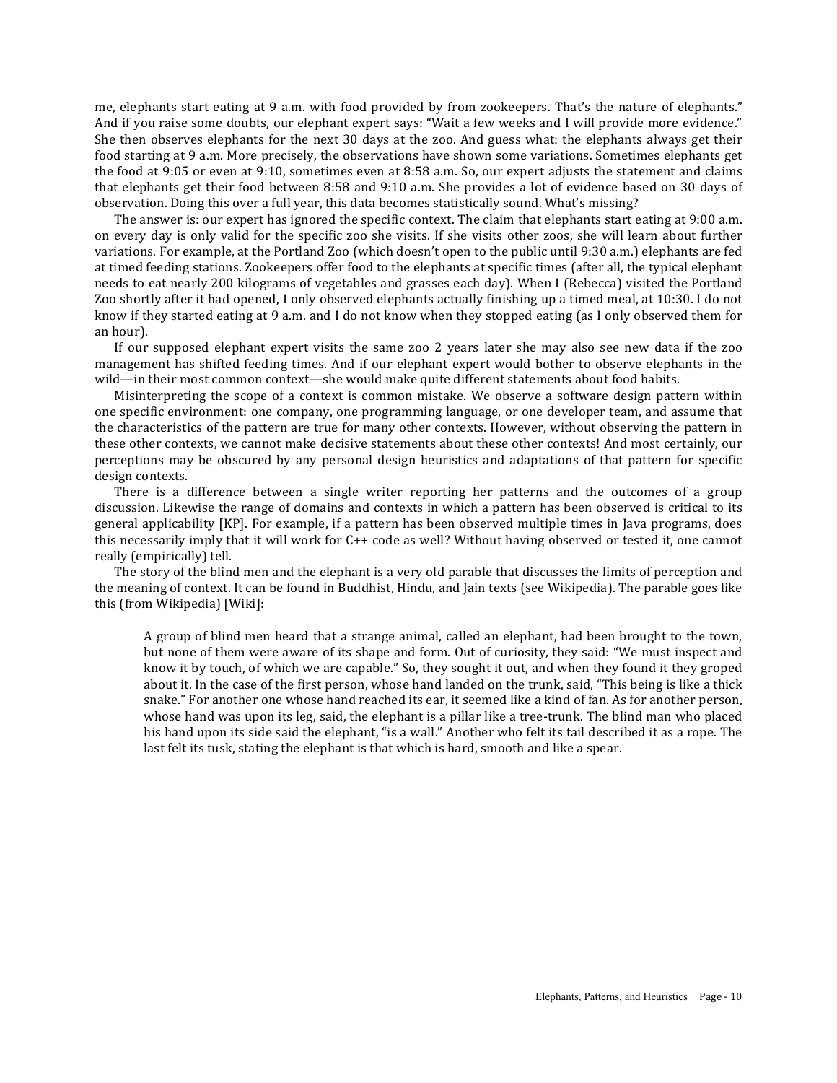me, elephants start eating at 9 a.m. with food provided by from zookeepers. That's the nature of elephants." And if you raise some doubts, our elephant expert says: "Wait a few weeks and I will provide more evidence." She then observes elephants for the next 30 days at the zoo. And guess what: the elephants always get their food starting at 9 a.m. More precisely, the observations have shown some variations. Sometimes elephants get the food at 9:05 or even at 9:10, sometimes even at 8:58 a.m. So, our expert adjusts the statement and claims that elephants get their food between  $8:58$  and  $9:10$  a.m. She provides a lot of evidence based on 30 days of observation. Doing this over a full year, this data becomes statistically sound. What's missing?

The answer is: our expert has ignored the specific context. The claim that elephants start eating at 9:00 a.m. on every day is only valid for the specific zoo she visits. If she visits other zoos, she will learn about further variations. For example, at the Portland Zoo (which doesn't open to the public until 9:30 a.m.) elephants are fed at timed feeding stations. Zookeepers offer food to the elephants at specific times (after all, the typical elephant needs to eat nearly 200 kilograms of vegetables and grasses each day). When I (Rebecca) visited the Portland Zoo shortly after it had opened, I only observed elephants actually finishing up a timed meal, at 10:30. I do not know if they started eating at 9 a.m. and I do not know when they stopped eating (as I only observed them for an hour).

If our supposed elephant expert visits the same zoo 2 years later she may also see new data if the zoo management has shifted feeding times. And if our elephant expert would bother to observe elephants in the wild—in their most common context—she would make quite different statements about food habits.

Misinterpreting the scope of a context is common mistake. We observe a software design pattern within one specific environment: one company, one programming language, or one developer team, and assume that the characteristics of the pattern are true for many other contexts. However, without observing the pattern in these other contexts, we cannot make decisive statements about these other contexts! And most certainly, our perceptions may be obscured by any personal design heuristics and adaptations of that pattern for specific design contexts.

There is a difference between a single writer reporting her patterns and the outcomes of a group discussion. Likewise the range of domains and contexts in which a pattern has been observed is critical to its general applicability [KP]. For example, if a pattern has been observed multiple times in Java programs, does this necessarily imply that it will work for C++ code as well? Without having observed or tested it, one cannot really (empirically) tell.

The story of the blind men and the elephant is a very old parable that discusses the limits of perception and the meaning of context. It can be found in Buddhist, Hindu, and Jain texts (see Wikipedia). The parable goes like this (from Wikipedia) [Wiki]:

A group of blind men heard that a strange animal, called an elephant, had been brought to the town, but none of them were aware of its shape and form. Out of curiosity, they said: "We must inspect and know it by touch, of which we are capable." So, they sought it out, and when they found it they groped about it. In the case of the first person, whose hand landed on the trunk, said, "This being is like a thick snake." For another one whose hand reached its ear, it seemed like a kind of fan. As for another person, whose hand was upon its leg, said, the elephant is a pillar like a tree-trunk. The blind man who placed his hand upon its side said the elephant, "is a wall." Another who felt its tail described it as a rope. The last felt its tusk, stating the elephant is that which is hard, smooth and like a spear.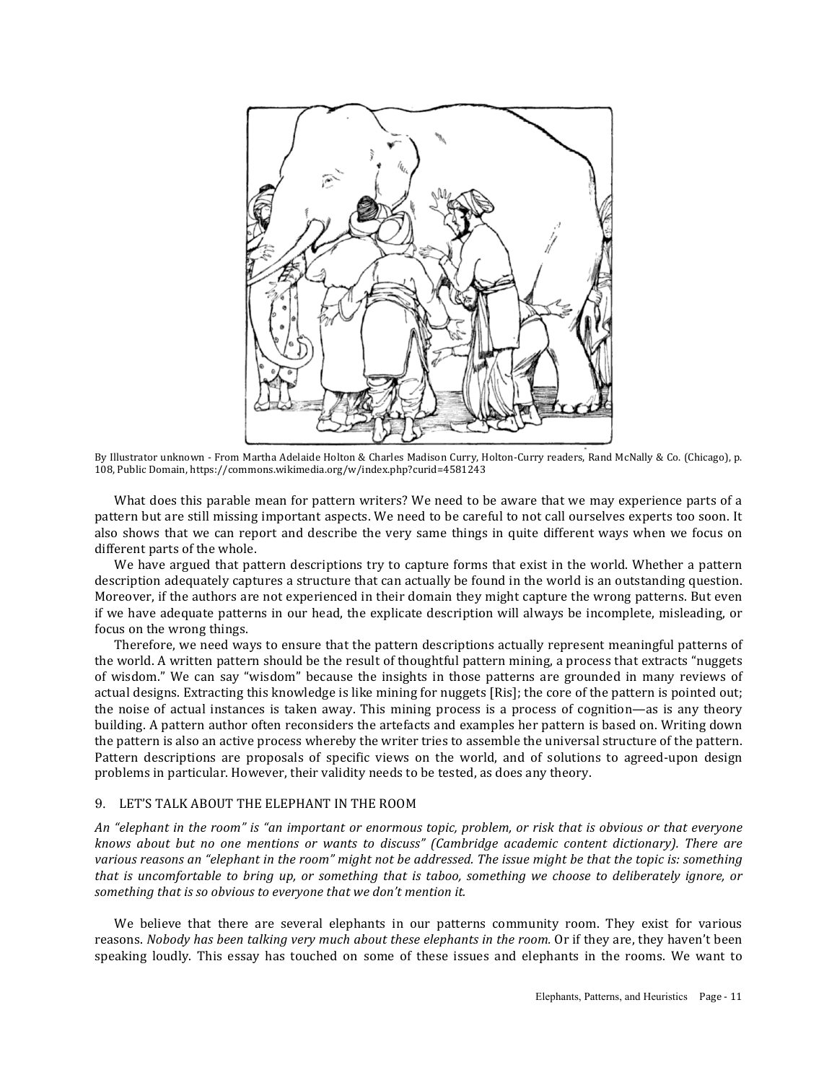

By Illustrator unknown - From Martha Adelaide Holton & Charles Madison Curry, Holton-Curry readers, Rand McNally & Co. (Chicago), p. 108, Public Domain, https://commons.wikimedia.org/w/index.php?curid=4581243

What does this parable mean for pattern writers? We need to be aware that we may experience parts of a pattern but are still missing important aspects. We need to be careful to not call ourselves experts too soon. It also shows that we can report and describe the very same things in quite different ways when we focus on different parts of the whole.

We have argued that pattern descriptions try to capture forms that exist in the world. Whether a pattern description adequately captures a structure that can actually be found in the world is an outstanding question. Moreover, if the authors are not experienced in their domain they might capture the wrong patterns. But even if we have adequate patterns in our head, the explicate description will always be incomplete, misleading, or focus on the wrong things.

Therefore, we need ways to ensure that the pattern descriptions actually represent meaningful patterns of the world. A written pattern should be the result of thoughtful pattern mining, a process that extracts "nuggets of wisdom." We can say "wisdom" because the insights in those patterns are grounded in many reviews of actual designs. Extracting this knowledge is like mining for nuggets [Ris]; the core of the pattern is pointed out; the noise of actual instances is taken away. This mining process is a process of cognition—as is any theory building. A pattern author often reconsiders the artefacts and examples her pattern is based on. Writing down the pattern is also an active process whereby the writer tries to assemble the universal structure of the pattern. Pattern descriptions are proposals of specific views on the world, and of solutions to agreed-upon design problems in particular. However, their validity needs to be tested, as does any theory.

## 9. LET'S TALK ABOUT THE ELEPHANT IN THE ROOM

An "elephant in the room" is "an important or enormous topic, problem, or risk that is obvious or that everyone *knows* about but no one mentions or wants to discuss" (Cambridge academic content dictionary). There are various reasons an "elephant in the room" might not be addressed. The issue might be that the topic is: something *that* is uncomfortable to bring up, or something that is taboo, something we choose to deliberately ignore, or something that is so obvious to everyone that we don't mention it.

We believe that there are several elephants in our patterns community room. They exist for various reasons. *Nobody has been talking very much about these elephants in the room.* Or if they are, they haven't been speaking loudly. This essay has touched on some of these issues and elephants in the rooms. We want to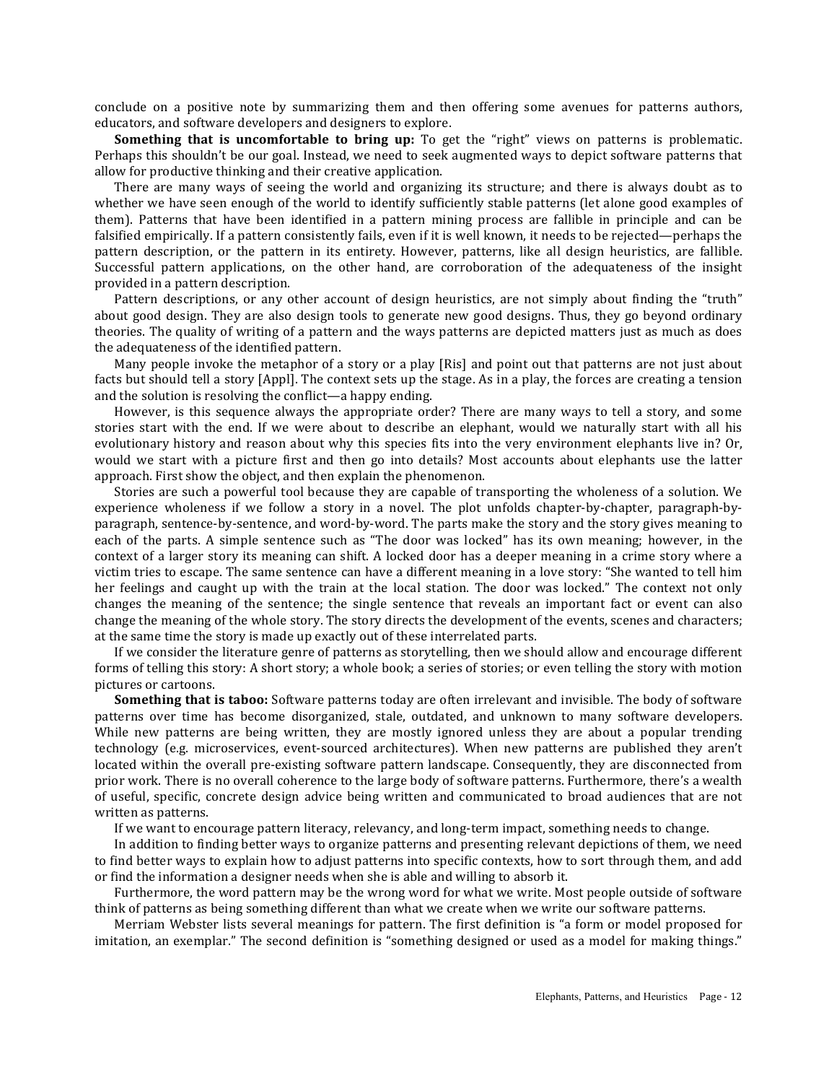conclude on a positive note by summarizing them and then offering some avenues for patterns authors, educators, and software developers and designers to explore.

**Something that is uncomfortable to bring up:** To get the "right" views on patterns is problematic. Perhaps this shouldn't be our goal. Instead, we need to seek augmented ways to depict software patterns that allow for productive thinking and their creative application.

There are many ways of seeing the world and organizing its structure; and there is always doubt as to whether we have seen enough of the world to identify sufficiently stable patterns (let alone good examples of them). Patterns that have been identified in a pattern mining process are fallible in principle and can be falsified empirically. If a pattern consistently fails, even if it is well known, it needs to be rejected—perhaps the pattern description, or the pattern in its entirety. However, patterns, like all design heuristics, are fallible. Successful pattern applications, on the other hand, are corroboration of the adequateness of the insight provided in a pattern description.

Pattern descriptions, or any other account of design heuristics, are not simply about finding the "truth" about good design. They are also design tools to generate new good designs. Thus, they go beyond ordinary theories. The quality of writing of a pattern and the ways patterns are depicted matters just as much as does the adequateness of the identified pattern.

Many people invoke the metaphor of a story or a play [Ris] and point out that patterns are not just about facts but should tell a story [Appl]. The context sets up the stage. As in a play, the forces are creating a tension and the solution is resolving the conflict—a happy ending.

However, is this sequence always the appropriate order? There are many ways to tell a story, and some stories start with the end. If we were about to describe an elephant, would we naturally start with all his evolutionary history and reason about why this species fits into the very environment elephants live in? Or, would we start with a picture first and then go into details? Most accounts about elephants use the latter approach. First show the object, and then explain the phenomenon.

Stories are such a powerful tool because they are capable of transporting the wholeness of a solution. We experience wholeness if we follow a story in a novel. The plot unfolds chapter-by-chapter, paragraph-byparagraph, sentence-by-sentence, and word-by-word. The parts make the story and the story gives meaning to each of the parts. A simple sentence such as "The door was locked" has its own meaning; however, in the context of a larger story its meaning can shift. A locked door has a deeper meaning in a crime story where a victim tries to escape. The same sentence can have a different meaning in a love story: "She wanted to tell him her feelings and caught up with the train at the local station. The door was locked." The context not only changes the meaning of the sentence; the single sentence that reveals an important fact or event can also change the meaning of the whole story. The story directs the development of the events, scenes and characters; at the same time the story is made up exactly out of these interrelated parts.

If we consider the literature genre of patterns as storytelling, then we should allow and encourage different forms of telling this story: A short story; a whole book; a series of stories; or even telling the story with motion pictures or cartoons.

**Something that is taboo:** Software patterns today are often irrelevant and invisible. The body of software patterns over time has become disorganized, stale, outdated, and unknown to many software developers. While new patterns are being written, they are mostly ignored unless they are about a popular trending technology (e.g. microservices, event-sourced architectures). When new patterns are published they aren't located within the overall pre-existing software pattern landscape. Consequently, they are disconnected from prior work. There is no overall coherence to the large body of software patterns. Furthermore, there's a wealth of useful, specific, concrete design advice being written and communicated to broad audiences that are not written as patterns.

If we want to encourage pattern literacy, relevancy, and long-term impact, something needs to change.

In addition to finding better ways to organize patterns and presenting relevant depictions of them, we need to find better ways to explain how to adjust patterns into specific contexts, how to sort through them, and add or find the information a designer needs when she is able and willing to absorb it.

Furthermore, the word pattern may be the wrong word for what we write. Most people outside of software think of patterns as being something different than what we create when we write our software patterns.

Merriam Webster lists several meanings for pattern. The first definition is "a form or model proposed for imitation, an exemplar." The second definition is "something designed or used as a model for making things."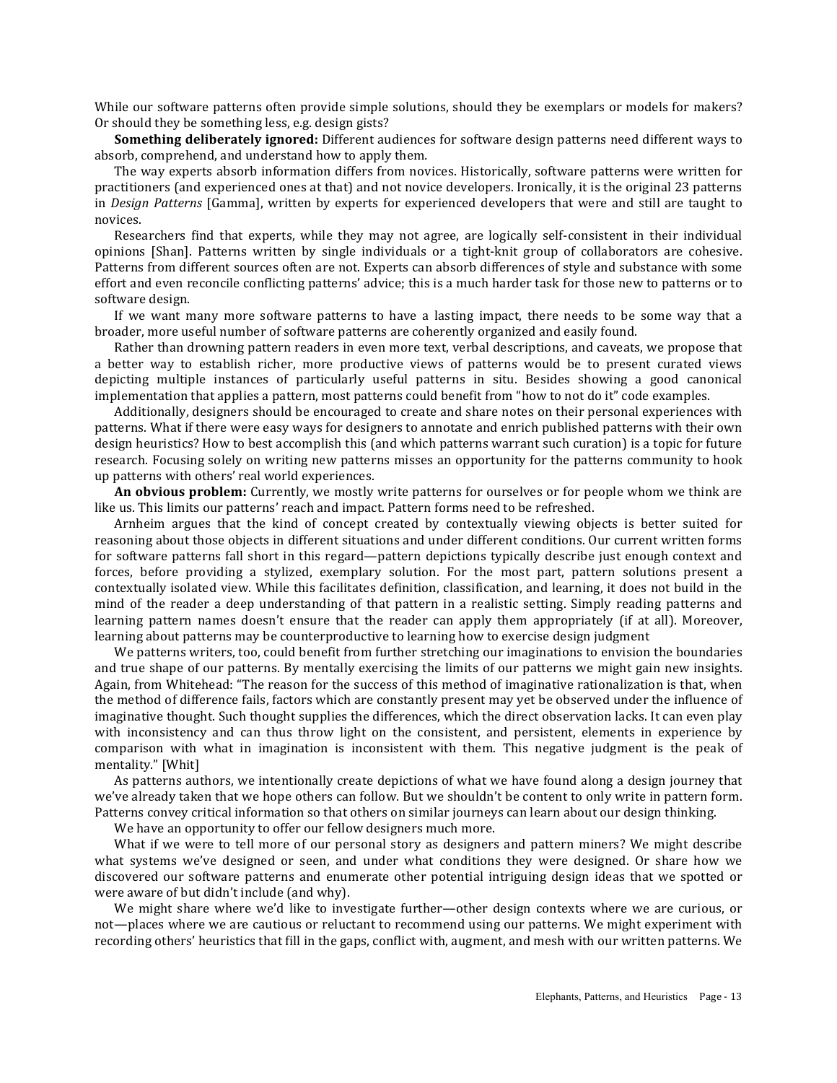While our software patterns often provide simple solutions, should they be exemplars or models for makers? Or should they be something less, e.g. design gists?

**Something deliberately ignored:** Different audiences for software design patterns need different ways to absorb, comprehend, and understand how to apply them.

The way experts absorb information differs from novices. Historically, software patterns were written for practitioners (and experienced ones at that) and not novice developers. Ironically, it is the original 23 patterns in *Design Patterns* [Gamma], written by experts for experienced developers that were and still are taught to novices.

Researchers find that experts, while they may not agree, are logically self-consistent in their individual opinions [Shan]. Patterns written by single individuals or a tight-knit group of collaborators are cohesive. Patterns from different sources often are not. Experts can absorb differences of style and substance with some effort and even reconcile conflicting patterns' advice; this is a much harder task for those new to patterns or to software design.

If we want many more software patterns to have a lasting impact, there needs to be some way that a broader, more useful number of software patterns are coherently organized and easily found.

Rather than drowning pattern readers in even more text, verbal descriptions, and caveats, we propose that a better way to establish richer, more productive views of patterns would be to present curated views depicting multiple instances of particularly useful patterns in situ. Besides showing a good canonical implementation that applies a pattern, most patterns could benefit from "how to not do it" code examples.

Additionally, designers should be encouraged to create and share notes on their personal experiences with patterns. What if there were easy ways for designers to annotate and enrich published patterns with their own design heuristics? How to best accomplish this (and which patterns warrant such curation) is a topic for future research. Focusing solely on writing new patterns misses an opportunity for the patterns community to hook up patterns with others' real world experiences.

**An obvious problem:** Currently, we mostly write patterns for ourselves or for people whom we think are like us. This limits our patterns' reach and impact. Pattern forms need to be refreshed.

Arnheim argues that the kind of concept created by contextually viewing objects is better suited for reasoning about those objects in different situations and under different conditions. Our current written forms for software patterns fall short in this regard—pattern depictions typically describe just enough context and forces, before providing a stylized, exemplary solution. For the most part, pattern solutions present a contextually isolated view. While this facilitates definition, classification, and learning, it does not build in the mind of the reader a deep understanding of that pattern in a realistic setting. Simply reading patterns and learning pattern names doesn't ensure that the reader can apply them appropriately (if at all). Moreover, learning about patterns may be counterproductive to learning how to exercise design judgment

We patterns writers, too, could benefit from further stretching our imaginations to envision the boundaries and true shape of our patterns. By mentally exercising the limits of our patterns we might gain new insights. Again, from Whitehead: "The reason for the success of this method of imaginative rationalization is that, when the method of difference fails, factors which are constantly present may yet be observed under the influence of imaginative thought. Such thought supplies the differences, which the direct observation lacks. It can even play with inconsistency and can thus throw light on the consistent, and persistent, elements in experience by comparison with what in imagination is inconsistent with them. This negative judgment is the peak of mentality." [Whit]

As patterns authors, we intentionally create depictions of what we have found along a design journey that we've already taken that we hope others can follow. But we shouldn't be content to only write in pattern form. Patterns convey critical information so that others on similar journeys can learn about our design thinking.

We have an opportunity to offer our fellow designers much more.

What if we were to tell more of our personal story as designers and pattern miners? We might describe what systems we've designed or seen, and under what conditions they were designed. Or share how we discovered our software patterns and enumerate other potential intriguing design ideas that we spotted or were aware of but didn't include (and why).

We might share where we'd like to investigate further—other design contexts where we are curious, or not—places where we are cautious or reluctant to recommend using our patterns. We might experiment with recording others' heuristics that fill in the gaps, conflict with, augment, and mesh with our written patterns. We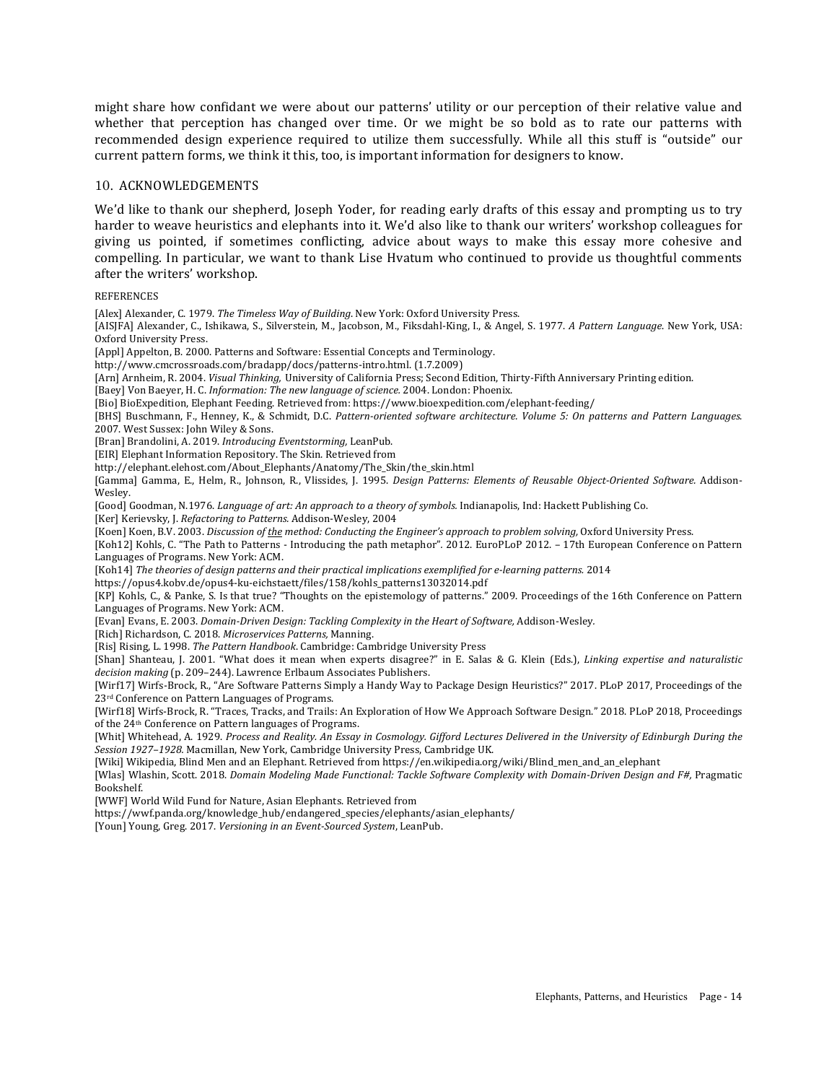might share how confidant we were about our patterns' utility or our perception of their relative value and whether that perception has changed over time. Or we might be so bold as to rate our patterns with recommended design experience required to utilize them successfully. While all this stuff is "outside" our current pattern forms, we think it this, too, is important information for designers to know.

## 10. ACKNOWLEDGEMENTS

We'd like to thank our shepherd, Joseph Yoder, for reading early drafts of this essay and prompting us to try harder to weave heuristics and elephants into it. We'd also like to thank our writers' workshop colleagues for giving us pointed, if sometimes conflicting, advice about ways to make this essay more cohesive and compelling. In particular, we want to thank Lise Hvatum who continued to provide us thoughtful comments after the writers' workshop.

**REFERENCES** 

[Alex] Alexander, C. 1979. *The Timeless Way of Building*. New York: Oxford University Press. [AISJFA] Alexander, C., Ishikawa, S., Silverstein, M., Jacobson, M., Fiksdahl-King, I., & Angel, S. 1977. A Pattern Language. New York, USA: Oxford University Press. [Appl] Appelton, B. 2000. Patterns and Software: Essential Concepts and Terminology. http://www.cmcrossroads.com/bradapp/docs/patterns-intro.html. (1.7.2009) [Arn] Arnheim, R. 2004. *Visual Thinking, University of California Press; Second Edition, Thirty-Fifth Anniversary Printing edition.* [Baey] Von Baeyer, H. C. *Information: The new language of science.* 2004. London: Phoenix. [Bio] BioExpedition, Elephant Feeding. Retrieved from: https://www.bioexpedition.com/elephant-feeding/ [BHS] Buschmann, F., Henney, K., & Schmidt, D.C. Pattern-oriented software architecture. Volume 5: On patterns and Pattern Languages. 2007. West Sussex: John Wiley & Sons. [Bran] Brandolini, A. 2019. *Introducing Eventstorming*, LeanPub. [EIR] Elephant Information Repository. The Skin. Retrieved from http://elephant.elehost.com/About\_Elephants/Anatomy/The\_Skin/the\_skin.html [Gamma] Gamma, E., Helm, R., Johnson, R., Vlissides, J. 1995. *Design Patterns: Elements of Reusable Object-Oriented Software.* Addison-Wesley. [Good] Goodman, N.1976. *Language of art: An approach to a theory of symbols.* Indianapolis, Ind: Hackett Publishing Co. [Ker] Kerievsky, J. *Refactoring to Patterns.* Addison-Wesley, 2004 [Koen] Koen, B.V. 2003. *Discussion of the method: Conducting the Engineer's approach to problem solving, Oxford University Press.* [Koh12] Kohls, C. "The Path to Patterns - Introducing the path metaphor". 2012. EuroPLoP 2012. – 17th European Conference on Pattern Languages of Programs. New York: ACM. [Koh14] *The theories of design patterns and their practical implications exemplified for e-learning patterns.* 2014 https://opus4.kobv.de/opus4-ku-eichstaett/files/158/kohls\_patterns13032014.pdf [KP] Kohls, C., & Panke, S. Is that true? "Thoughts on the epistemology of patterns." 2009. Proceedings of the 16th Conference on Pattern Languages of Programs. New York: ACM. [Evan] Evans, E. 2003. *Domain-Driven Design: Tackling Complexity in the Heart of Software, Addison-Wesley.* [Rich] Richardson, C. 2018. *Microservices Patterns*, Manning. [Ris] Rising, L. 1998. *The Pattern Handbook*. Cambridge: Cambridge University Press [Shan] Shanteau, J. 2001. "What does it mean when experts disagree?" in E. Salas & G. Klein (Eds.), *Linking expertise and naturalistic* decision making (p. 209-244). Lawrence Erlbaum Associates Publishers. [Wirf17] Wirfs-Brock, R., "Are Software Patterns Simply a Handy Way to Package Design Heuristics?" 2017. PLoP 2017, Proceedings of the 23<sup>rd</sup> Conference on Pattern Languages of Programs. [Wirf18] Wirfs-Brock, R. "Traces, Tracks, and Trails: An Exploration of How We Approach Software Design." 2018. PLoP 2018, Proceedings of the 24<sup>th</sup> Conference on Pattern languages of Programs. [Whit] Whitehead, A. 1929. Process and Reality. An Essay in Cosmology. Gifford Lectures Delivered in the University of Edinburgh During the Session 1927-1928. Macmillan, New York, Cambridge University Press, Cambridge UK. [Wiki] Wikipedia, Blind Men and an Elephant. Retrieved from https://en.wikipedia.org/wiki/Blind\_men\_and\_an\_elephant [Wlas] Wlashin, Scott. 2018. *Domain Modeling Made Functional: Tackle Software Complexity with Domain-Driven Design and F#, Pragmatic* Bookshelf. [WWF] World Wild Fund for Nature, Asian Elephants. Retrieved from https://wwf.panda.org/knowledge\_hub/endangered\_species/elephants/asian\_elephants/ [Youn] Young, Greg. 2017. *Versioning in an Event-Sourced System*, LeanPub.